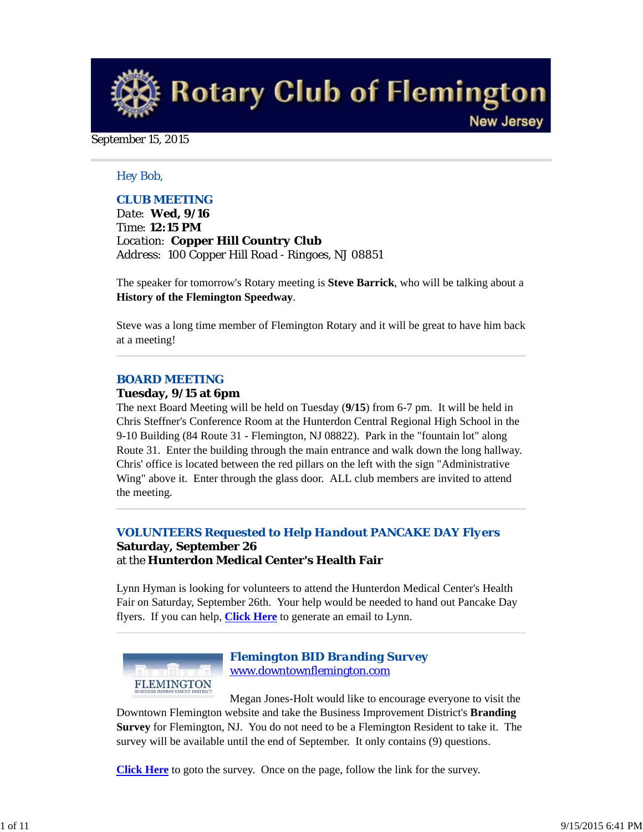**Rotary Club of Flemington New Jersey** 

# September 15, 2015

## *Hey Bob,*

# *CLUB MEETING*

*Date: Wed, 9/16 Time: 12:15 PM Location: Copper Hill Country Club Address: 100 Copper Hill Road - Ringoes, NJ 08851*

The speaker for tomorrow's Rotary meeting is **Steve Barrick**, who will be talking about a **History of the Flemington Speedway**.

Steve was a long time member of Flemington Rotary and it will be great to have him back at a meeting!

#### *BOARD MEETING*

#### **Tuesday, 9/15 at 6pm**

The next Board Meeting will be held on Tuesday (**9/15**) from 6-7 pm. It will be held in Chris Steffner's Conference Room at the Hunterdon Central Regional High School in the 9-10 Building (84 Route 31 - Flemington, NJ 08822). Park in the "fountain lot" along Route 31. Enter the building through the main entrance and walk down the long hallway. Chris' office is located between the red pillars on the left with the sign "Administrative Wing" above it. Enter through the glass door. ALL club members are invited to attend the meeting.

## *VOLUNTEERS Requested to Help Handout PANCAKE DAY Flyers* **Saturday, September 26** at the **Hunterdon Medical Center's Health Fair**

Lynn Hyman is looking for volunteers to attend the Hunterdon Medical Center's Health Fair on Saturday, September 26th. Your help would be needed to hand out Pancake Day flyers. If you can help, **Click Here** to generate an email to Lynn.



# *Flemington BID Branding Survey* www.downtownflemington.com

Megan Jones-Holt would like to encourage everyone to visit the Downtown Flemington website and take the Business Improvement District's **Branding Survey** for Flemington, NJ. You do not need to be a Flemington Resident to take it. The survey will be available until the end of September. It only contains (9) questions.

**Click Here** to goto the survey. Once on the page, follow the link for the survey.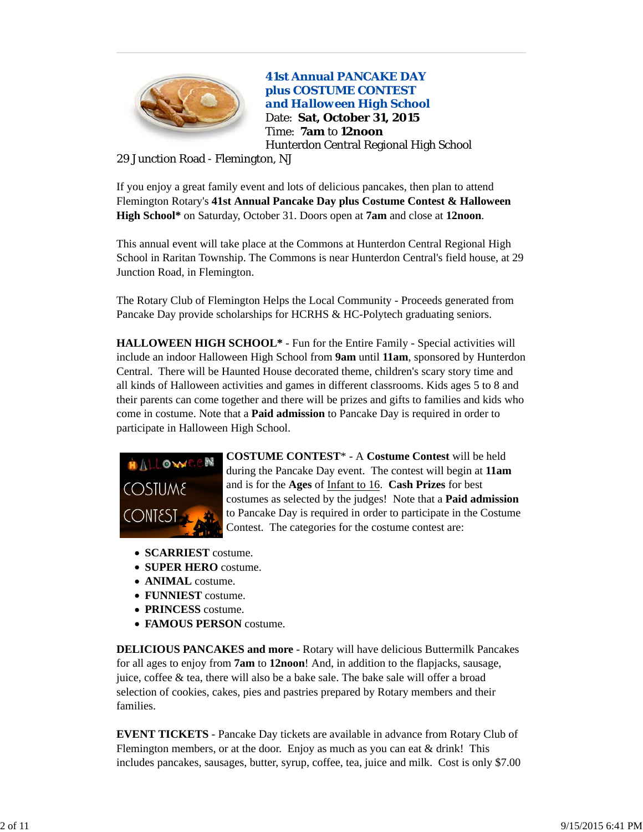

**41st Annual PANCAKE DAY plus COSTUME CONTEST**  *and Halloween High School* Date: **Sat, October 31, 2015** Time: **7am** to **12noon** Hunterdon Central Regional High School

29 Junction Road - Flemington, NJ

If you enjoy a great family event and lots of delicious pancakes, then plan to attend Flemington Rotary's **41st Annual Pancake Day plus Costume Contest & Halloween High School\*** on Saturday, October 31. Doors open at **7am** and close at **12noon**.

This annual event will take place at the Commons at Hunterdon Central Regional High School in Raritan Township. The Commons is near Hunterdon Central's field house, at 29 Junction Road, in Flemington.

The Rotary Club of Flemington Helps the Local Community - Proceeds generated from Pancake Day provide scholarships for HCRHS & HC-Polytech graduating seniors.

**HALLOWEEN HIGH SCHOOL\*** - Fun for the Entire Family - Special activities will include an indoor Halloween High School from **9am** until **11am**, sponsored by Hunterdon Central. There will be Haunted House decorated theme, children's scary story time and all kinds of Halloween activities and games in different classrooms. Kids ages 5 to 8 and their parents can come together and there will be prizes and gifts to families and kids who come in costume. Note that a **Paid admission** to Pancake Day is required in order to participate in Halloween High School.



**COSTUME CONTEST**\* - A **Costume Contest** will be held during the Pancake Day event. The contest will begin at **11am** and is for the **Ages** of Infant to 16. **Cash Prizes** for best costumes as selected by the judges! Note that a **Paid admission** to Pancake Day is required in order to participate in the Costume Contest. The categories for the costume contest are:

- **SCARRIEST** costume.
- **SUPER HERO** costume.
- **ANIMAL** costume.
- **FUNNIEST** costume.
- **PRINCESS** costume.
- **FAMOUS PERSON** costume.

**DELICIOUS PANCAKES and more** - Rotary will have delicious Buttermilk Pancakes for all ages to enjoy from **7am** to **12noon**! And, in addition to the flapjacks, sausage, juice, coffee & tea, there will also be a bake sale. The bake sale will offer a broad selection of cookies, cakes, pies and pastries prepared by Rotary members and their families.

**EVENT TICKETS** - Pancake Day tickets are available in advance from Rotary Club of Flemington members, or at the door. Enjoy as much as you can eat & drink! This includes pancakes, sausages, butter, syrup, coffee, tea, juice and milk. Cost is only \$7.00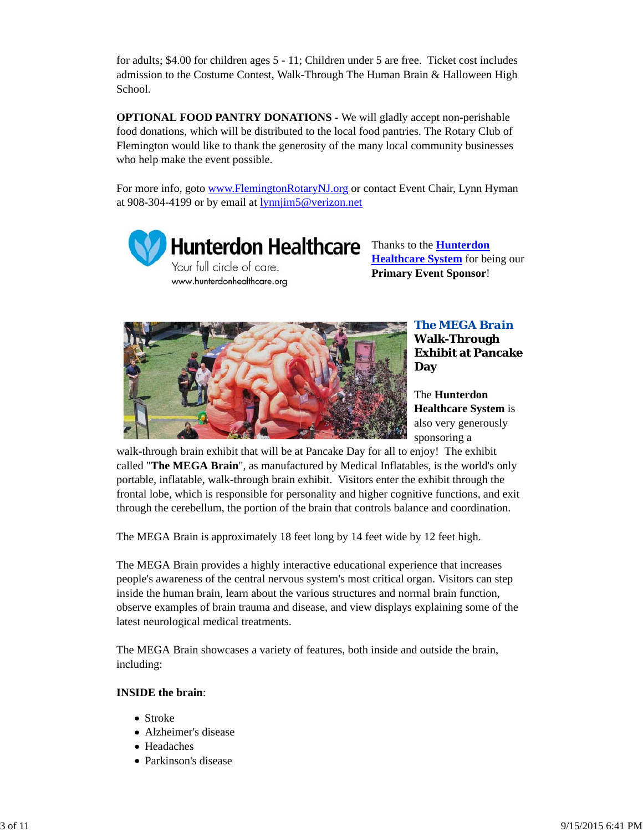for adults; \$4.00 for children ages 5 - 11; Children under 5 are free. Ticket cost includes admission to the Costume Contest, Walk-Through The Human Brain & Halloween High School.

**OPTIONAL FOOD PANTRY DONATIONS** - We will gladly accept non-perishable food donations, which will be distributed to the local food pantries. The Rotary Club of Flemington would like to thank the generosity of the many local community businesses who help make the event possible.

For more info, goto www.FlemingtonRotaryNJ.org or contact Event Chair, Lynn Hyman at 908-304-4199 or by email at lynnjim5@verizon.net



www.hunterdonhealthcare.org

**Healthcare System** for being our **Primary Event Sponsor**!



*The MEGA Brain* **Walk-Through Exhibit at Pancake Day**

The **Hunterdon Healthcare System** is also very generously sponsoring a

walk-through brain exhibit that will be at Pancake Day for all to enjoy! The exhibit called "**The MEGA Brain**", as manufactured by Medical Inflatables, is the world's only portable, inflatable, walk-through brain exhibit. Visitors enter the exhibit through the frontal lobe, which is responsible for personality and higher cognitive functions, and exit through the cerebellum, the portion of the brain that controls balance and coordination.

The MEGA Brain is approximately 18 feet long by 14 feet wide by 12 feet high.

The MEGA Brain provides a highly interactive educational experience that increases people's awareness of the central nervous system's most critical organ. Visitors can step inside the human brain, learn about the various structures and normal brain function, observe examples of brain trauma and disease, and view displays explaining some of the latest neurological medical treatments.

The MEGA Brain showcases a variety of features, both inside and outside the brain, including:

# **INSIDE the brain**:

- Stroke
- Alzheimer's disease
- Headaches
- Parkinson's disease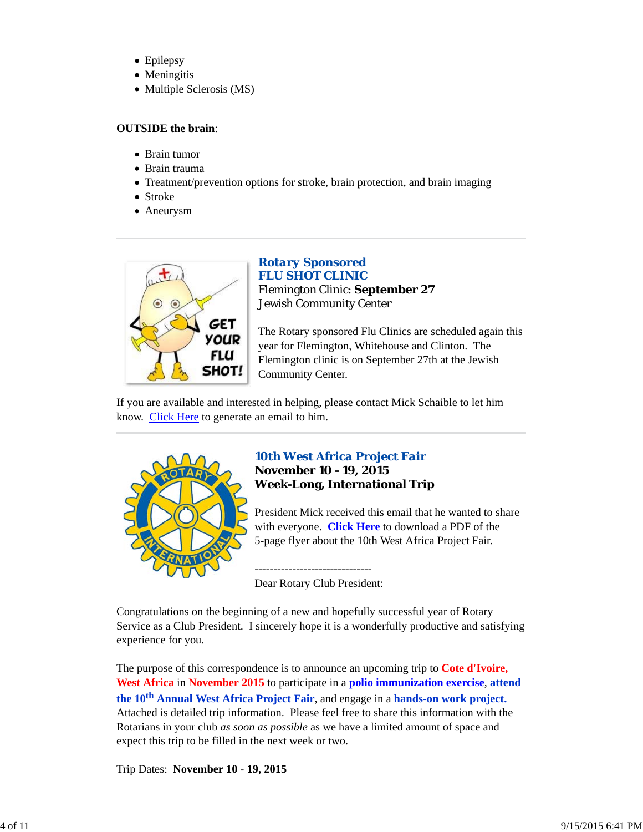- Epilepsy
- Meningitis
- Multiple Sclerosis (MS)

# **OUTSIDE the brain**:

- Brain tumor
- Brain trauma
- Treatment/prevention options for stroke, brain protection, and brain imaging
- Stroke
- Aneurysm



# *Rotary Sponsored FLU SHOT CLINIC* Flemington Clinic: **September 27** Jewish Community Center

The Rotary sponsored Flu Clinics are scheduled again this year for Flemington, Whitehouse and Clinton. The Flemington clinic is on September 27th at the Jewish Community Center.

If you are available and interested in helping, please contact Mick Schaible to let him know. Click Here to generate an email to him.



# *10th West Africa Project Fair* **November 10 - 19, 2015 Week-Long, International Trip**

President Mick received this email that he wanted to share with everyone. **Click Here** to download a PDF of the 5-page flyer about the 10th West Africa Project Fair.

------------------------------- Dear Rotary Club President:

Congratulations on the beginning of a new and hopefully successful year of Rotary Service as a Club President. I sincerely hope it is a wonderfully productive and satisfying experience for you.

The purpose of this correspondence is to announce an upcoming trip to **Cote d'Ivoire, West Africa** in **November 2015** to participate in a **polio immunization exercise**, **attend the 10th Annual West Africa Project Fair**, and engage in a **hands-on work project.** Attached is detailed trip information. Please feel free to share this information with the Rotarians in your club *as soon as possible* as we have a limited amount of space and expect this trip to be filled in the next week or two.

Trip Dates: **November 10 - 19, 2015**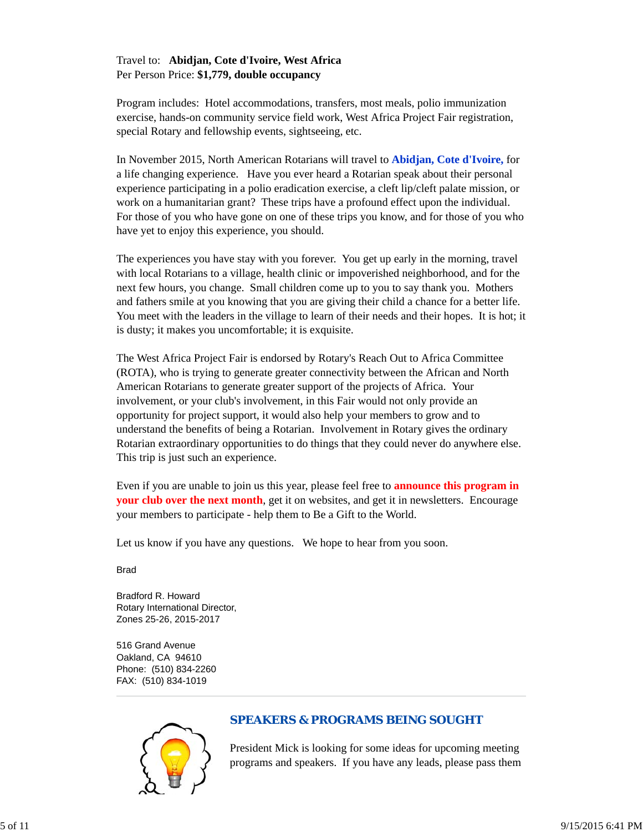# Travel to: **Abidjan, Cote d'Ivoire, West Africa** Per Person Price: **\$1,779, double occupancy**

Program includes: Hotel accommodations, transfers, most meals, polio immunization exercise, hands-on community service field work, West Africa Project Fair registration, special Rotary and fellowship events, sightseeing, etc.

In November 2015, North American Rotarians will travel to **Abidjan, Cote d'Ivoire,** for a life changing experience. Have you ever heard a Rotarian speak about their personal experience participating in a polio eradication exercise, a cleft lip/cleft palate mission, or work on a humanitarian grant? These trips have a profound effect upon the individual. For those of you who have gone on one of these trips you know, and for those of you who have yet to enjoy this experience, you should.

The experiences you have stay with you forever. You get up early in the morning, travel with local Rotarians to a village, health clinic or impoverished neighborhood, and for the next few hours, you change. Small children come up to you to say thank you. Mothers and fathers smile at you knowing that you are giving their child a chance for a better life. You meet with the leaders in the village to learn of their needs and their hopes. It is hot; it is dusty; it makes you uncomfortable; it is exquisite.

The West Africa Project Fair is endorsed by Rotary's Reach Out to Africa Committee (ROTA), who is trying to generate greater connectivity between the African and North American Rotarians to generate greater support of the projects of Africa. Your involvement, or your club's involvement, in this Fair would not only provide an opportunity for project support, it would also help your members to grow and to understand the benefits of being a Rotarian. Involvement in Rotary gives the ordinary Rotarian extraordinary opportunities to do things that they could never do anywhere else. This trip is just such an experience.

Even if you are unable to join us this year, please feel free to **announce this program in your club over the next month**, get it on websites, and get it in newsletters. Encourage your members to participate - help them to Be a Gift to the World.

Let us know if you have any questions. We hope to hear from you soon.

**Brad** 

Bradford R. Howard Rotary International Director, Zones 25-26, 2015-2017

516 Grand Avenue Oakland, CA 94610 Phone: (510) 834-2260 FAX: (510) 834-1019



# *SPEAKERS & PROGRAMS BEING SOUGHT*

President Mick is looking for some ideas for upcoming meeting programs and speakers. If you have any leads, please pass them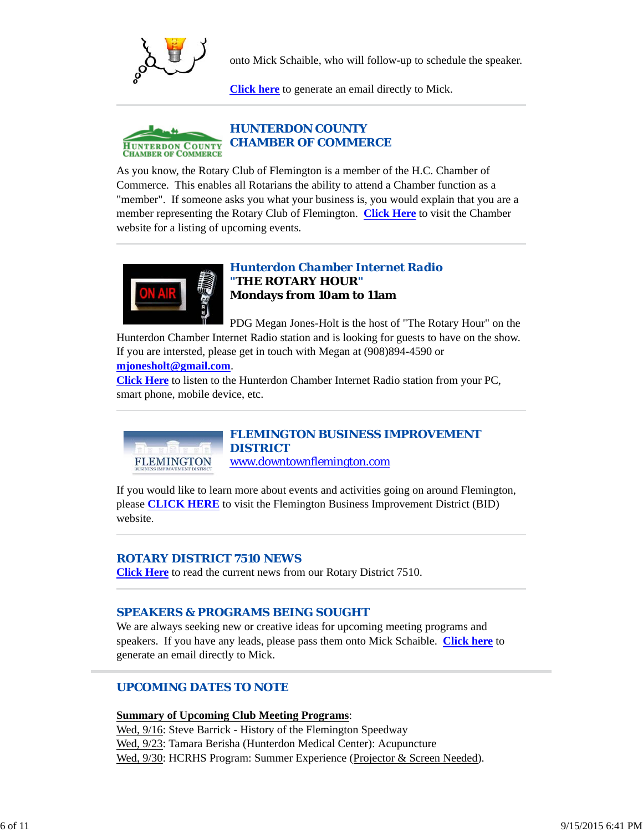

onto Mick Schaible, who will follow-up to schedule the speaker.

**Click here** to generate an email directly to Mick.



As you know, the Rotary Club of Flemington is a member of the H.C. Chamber of Commerce. This enables all Rotarians the ability to attend a Chamber function as a "member". If someone asks you what your business is, you would explain that you are a member representing the Rotary Club of Flemington. **Click Here** to visit the Chamber website for a listing of upcoming events.



**FLEMINGTON** 

# *Hunterdon Chamber Internet Radio "THE ROTARY HOUR"* **Mondays from 10am to 11am**

PDG Megan Jones-Holt is the host of "The Rotary Hour" on the

Hunterdon Chamber Internet Radio station and is looking for guests to have on the show. If you are intersted, please get in touch with Megan at (908)894-4590 or **mjonesholt@gmail.com**.

**Click Here** to listen to the Hunterdon Chamber Internet Radio station from your PC, smart phone, mobile device, etc.

> *FLEMINGTON BUSINESS IMPROVEMENT DISTRICT* www.downtownflemington.com

If you would like to learn more about events and activities going on around Flemington, please **CLICK HERE** to visit the Flemington Business Improvement District (BID) website.

# *ROTARY DISTRICT 7510 NEWS*

**Click Here** to read the current news from our Rotary District 7510.

# *SPEAKERS & PROGRAMS BEING SOUGHT*

We are always seeking new or creative ideas for upcoming meeting programs and speakers. If you have any leads, please pass them onto Mick Schaible. **Click here** to generate an email directly to Mick.

# *UPCOMING DATES TO NOTE*

#### **Summary of Upcoming Club Meeting Programs**:

Wed, 9/16: Steve Barrick - History of the Flemington Speedway Wed, 9/23: Tamara Berisha (Hunterdon Medical Center): Acupuncture Wed, 9/30: HCRHS Program: Summer Experience (Projector & Screen Needed).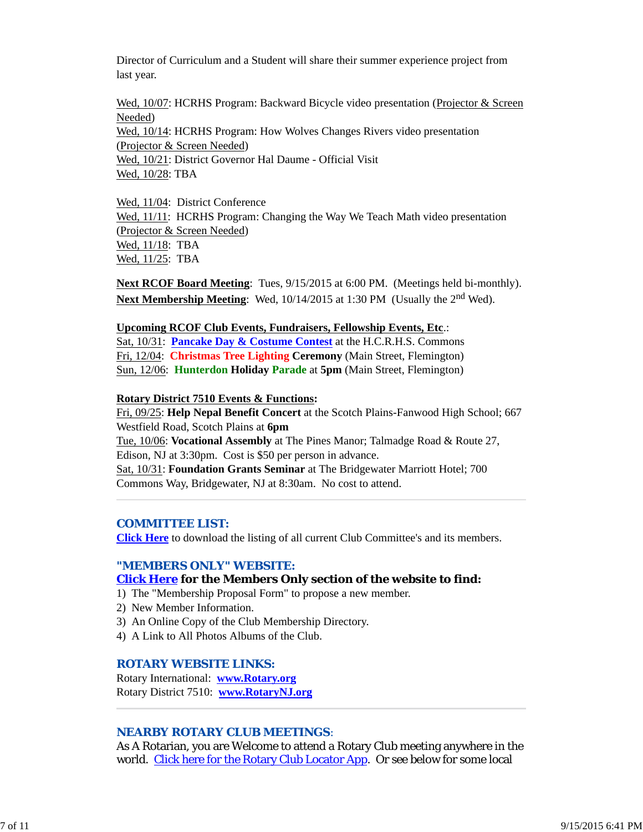Director of Curriculum and a Student will share their summer experience project from last year.

Wed, 10/07: HCRHS Program: Backward Bicycle video presentation (Projector & Screen Needed) Wed, 10/14: HCRHS Program: How Wolves Changes Rivers video presentation (Projector & Screen Needed) Wed, 10/21: District Governor Hal Daume - Official Visit Wed, 10/28: TBA

Wed, 11/04: District Conference Wed, 11/11: HCRHS Program: Changing the Way We Teach Math video presentation (Projector & Screen Needed) Wed, 11/18: TBA Wed, 11/25: TBA

**Next RCOF Board Meeting**: Tues, 9/15/2015 at 6:00 PM. (Meetings held bi-monthly). **Next Membership Meeting:** Wed, 10/14/2015 at 1:30 PM (Usually the 2<sup>nd</sup> Wed).

# **Upcoming RCOF Club Events, Fundraisers, Fellowship Events, Etc**.:

Sat, 10/31: **Pancake Day & Costume Contest** at the H.C.R.H.S. Commons Fri, 12/04: **Christmas Tree Lighting Ceremony** (Main Street, Flemington) Sun, 12/06: **Hunterdon Holiday Parade** at **5pm** (Main Street, Flemington)

## **Rotary District 7510 Events & Functions:**

Fri, 09/25: **Help Nepal Benefit Concert** at the Scotch Plains-Fanwood High School; 667 Westfield Road, Scotch Plains at **6pm** Tue, 10/06: **Vocational Assembly** at The Pines Manor; Talmadge Road & Route 27, Edison, NJ at 3:30pm. Cost is \$50 per person in advance. Sat, 10/31: **Foundation Grants Seminar** at The Bridgewater Marriott Hotel; 700 Commons Way, Bridgewater, NJ at 8:30am. No cost to attend.

#### *COMMITTEE LIST:*

**Click Here** to download the listing of all current Club Committee's and its members.

# *"MEMBERS ONLY" WEBSITE:*

# **Click Here for the Members Only section of the website to find:**

- 1) The "Membership Proposal Form" to propose a new member.
- 2) New Member Information.
- 3) An Online Copy of the Club Membership Directory.
- 4) A Link to All Photos Albums of the Club.

# *ROTARY WEBSITE LINKS:*

Rotary International: **www.Rotary.org** Rotary District 7510: **www.RotaryNJ.org**

# *NEARBY ROTARY CLUB MEETINGS:*

As A Rotarian, you are Welcome to attend a Rotary Club meeting anywhere in the world. Click here for the Rotary Club Locator App. Or see below for some local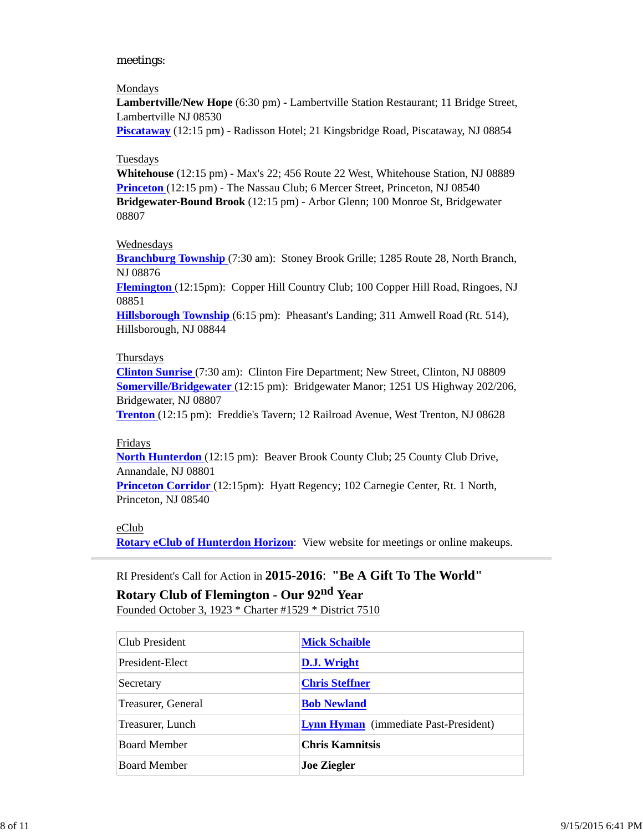# meetings:

#### Mondays

**Lambertville/New Hope** (6:30 pm) - Lambertville Station Restaurant; 11 Bridge Street, Lambertville NJ 08530

**Piscataway** (12:15 pm) - Radisson Hotel; 21 Kingsbridge Road, Piscataway, NJ 08854

# Tuesdays

**Whitehouse** (12:15 pm) - Max's 22; 456 Route 22 West, Whitehouse Station, NJ 08889 **Princeton** (12:15 pm) - The Nassau Club; 6 Mercer Street, Princeton, NJ 08540 **Bridgewater-Bound Brook** (12:15 pm) - Arbor Glenn; 100 Monroe St, Bridgewater 08807

## Wednesdays

**Branchburg Township** (7:30 am): Stoney Brook Grille; 1285 Route 28, North Branch, NJ 08876

**Flemington** (12:15pm): Copper Hill Country Club; 100 Copper Hill Road, Ringoes, NJ 08851

**Hillsborough Township** (6:15 pm): Pheasant's Landing; 311 Amwell Road (Rt. 514), Hillsborough, NJ 08844

## **Thursdays**

**Clinton Sunrise** (7:30 am): Clinton Fire Department; New Street, Clinton, NJ 08809 **Somerville/Bridgewater** (12:15 pm): Bridgewater Manor; 1251 US Highway 202/206, Bridgewater, NJ 08807

**Trenton** (12:15 pm): Freddie's Tavern; 12 Railroad Avenue, West Trenton, NJ 08628

#### Fridays

**North Hunterdon** (12:15 pm): Beaver Brook County Club; 25 County Club Drive, Annandale, NJ 08801

**Princeton Corridor** (12:15pm): Hyatt Regency; 102 Carnegie Center, Rt. 1 North, Princeton, NJ 08540

# eClub

**Rotary eClub of Hunterdon Horizon**: View website for meetings or online makeups.

# RI President's Call for Action in **2015-2016**: **"Be A Gift To The World"**

# **Rotary Club of Flemington - Our 92nd Year**

Founded October 3, 1923 \* Charter #1529 \* District 7510

| Club President      | <b>Mick Schaible</b>                         |
|---------------------|----------------------------------------------|
| President-Elect     | D.J. Wright                                  |
| Secretary           | <b>Chris Steffner</b>                        |
| Treasurer, General  | <b>Bob Newland</b>                           |
| Treasurer, Lunch    | <b>Lynn Hyman</b> (immediate Past-President) |
| Board Member        | <b>Chris Kamnitsis</b>                       |
| <b>Board Member</b> | <b>Joe Ziegler</b>                           |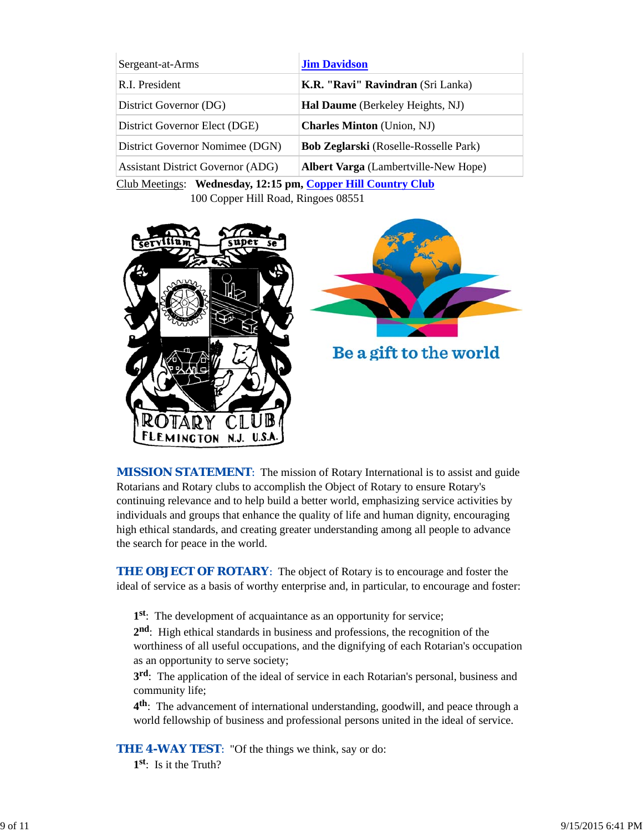| Sergeant-at-Arms                         | <b>Jim Davidson</b>                          |  |
|------------------------------------------|----------------------------------------------|--|
| R.I. President                           | K.R. "Ravi" Ravindran (Sri Lanka)            |  |
| District Governor (DG)                   | Hal Daume (Berkeley Heights, NJ)             |  |
| District Governor Elect (DGE)            | <b>Charles Minton</b> (Union, NJ)            |  |
| District Governor Nomimee (DGN)          | <b>Bob Zeglarski</b> (Roselle-Rosselle Park) |  |
| <b>Assistant District Governor (ADG)</b> | <b>Albert Varga</b> (Lambertville-New Hope)  |  |
|                                          |                                              |  |

Club Meetings: **Wednesday, 12:15 pm, Copper Hill Country Club** 100 Copper Hill Road, Ringoes 08551



*MISSION STATEMENT*: The mission of Rotary International is to assist and guide Rotarians and Rotary clubs to accomplish the Object of Rotary to ensure Rotary's continuing relevance and to help build a better world, emphasizing service activities by individuals and groups that enhance the quality of life and human dignity, encouraging high ethical standards, and creating greater understanding among all people to advance the search for peace in the world.

**THE OBJECT OF ROTARY:** The object of Rotary is to encourage and foster the ideal of service as a basis of worthy enterprise and, in particular, to encourage and foster:

**1st**: The development of acquaintance as an opportunity for service;

**2nd**: High ethical standards in business and professions, the recognition of the worthiness of all useful occupations, and the dignifying of each Rotarian's occupation as an opportunity to serve society;

**3rd**: The application of the ideal of service in each Rotarian's personal, business and community life;

**4th**: The advancement of international understanding, goodwill, and peace through a world fellowship of business and professional persons united in the ideal of service.

**THE 4-WAY TEST:** "Of the things we think, say or do:

**1st**: Is it the Truth?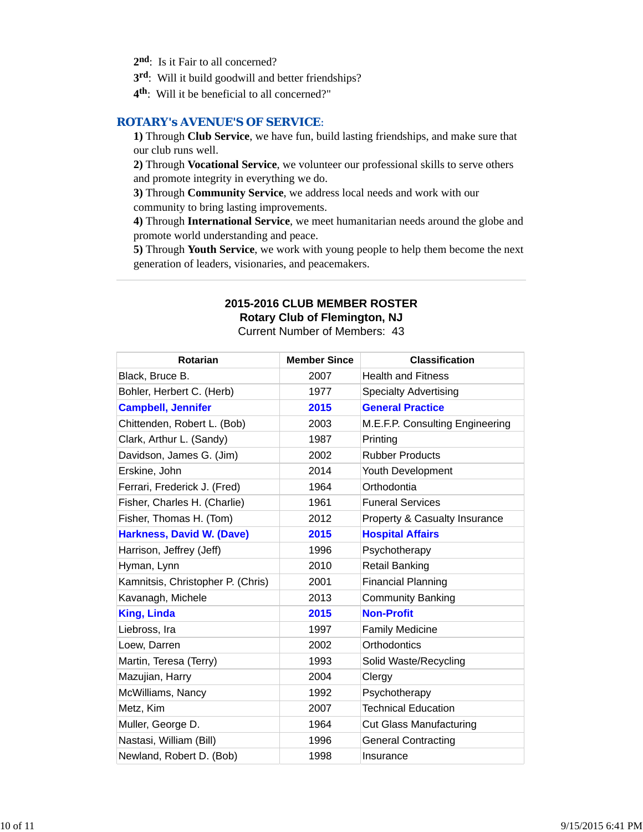- 2<sup>nd</sup>: Is it Fair to all concerned?
- **3rd**: Will it build goodwill and better friendships?
- **4th**: Will it be beneficial to all concerned?"

# *ROTARY's AVENUE'S OF SERVICE*:

**1)** Through **Club Service**, we have fun, build lasting friendships, and make sure that our club runs well.

**2)** Through **Vocational Service**, we volunteer our professional skills to serve others and promote integrity in everything we do.

**3)** Through **Community Service**, we address local needs and work with our community to bring lasting improvements.

**4)** Through **International Service**, we meet humanitarian needs around the globe and promote world understanding and peace.

**5)** Through **Youth Service**, we work with young people to help them become the next generation of leaders, visionaries, and peacemakers.

# **2015-2016 CLUB MEMBER ROSTER Rotary Club of Flemington, NJ**

Current Number of Members: 43

| Rotarian                          | <b>Member Since</b> | <b>Classification</b>                    |
|-----------------------------------|---------------------|------------------------------------------|
| Black, Bruce B.                   | 2007                | <b>Health and Fitness</b>                |
| Bohler, Herbert C. (Herb)         | 1977                | <b>Specialty Advertising</b>             |
| <b>Campbell, Jennifer</b>         | 2015                | <b>General Practice</b>                  |
| Chittenden, Robert L. (Bob)       | 2003                | M.E.F.P. Consulting Engineering          |
| Clark, Arthur L. (Sandy)          | 1987                | Printing                                 |
| Davidson, James G. (Jim)          | 2002                | <b>Rubber Products</b>                   |
| Erskine, John                     | 2014                | Youth Development                        |
| Ferrari, Frederick J. (Fred)      | 1964                | Orthodontia                              |
| Fisher, Charles H. (Charlie)      | 1961                | <b>Funeral Services</b>                  |
| Fisher, Thomas H. (Tom)           | 2012                | <b>Property &amp; Casualty Insurance</b> |
| <b>Harkness, David W. (Dave)</b>  | 2015                | <b>Hospital Affairs</b>                  |
| Harrison, Jeffrey (Jeff)          | 1996                | Psychotherapy                            |
| Hyman, Lynn                       | 2010                | <b>Retail Banking</b>                    |
| Kamnitsis, Christopher P. (Chris) | 2001                | <b>Financial Planning</b>                |
| Kavanagh, Michele                 | 2013                | <b>Community Banking</b>                 |
| <b>King, Linda</b>                | 2015                | <b>Non-Profit</b>                        |
| Liebross, Ira                     | 1997                | <b>Family Medicine</b>                   |
| Loew, Darren                      | 2002                | Orthodontics                             |
| Martin, Teresa (Terry)            | 1993                | Solid Waste/Recycling                    |
| Mazujian, Harry                   | 2004                | Clergy                                   |
| McWilliams, Nancy                 | 1992                | Psychotherapy                            |
| Metz, Kim                         | 2007                | <b>Technical Education</b>               |
| Muller, George D.                 | 1964                | <b>Cut Glass Manufacturing</b>           |
| Nastasi, William (Bill)           | 1996                | <b>General Contracting</b>               |
| Newland, Robert D. (Bob)          | 1998                | Insurance                                |